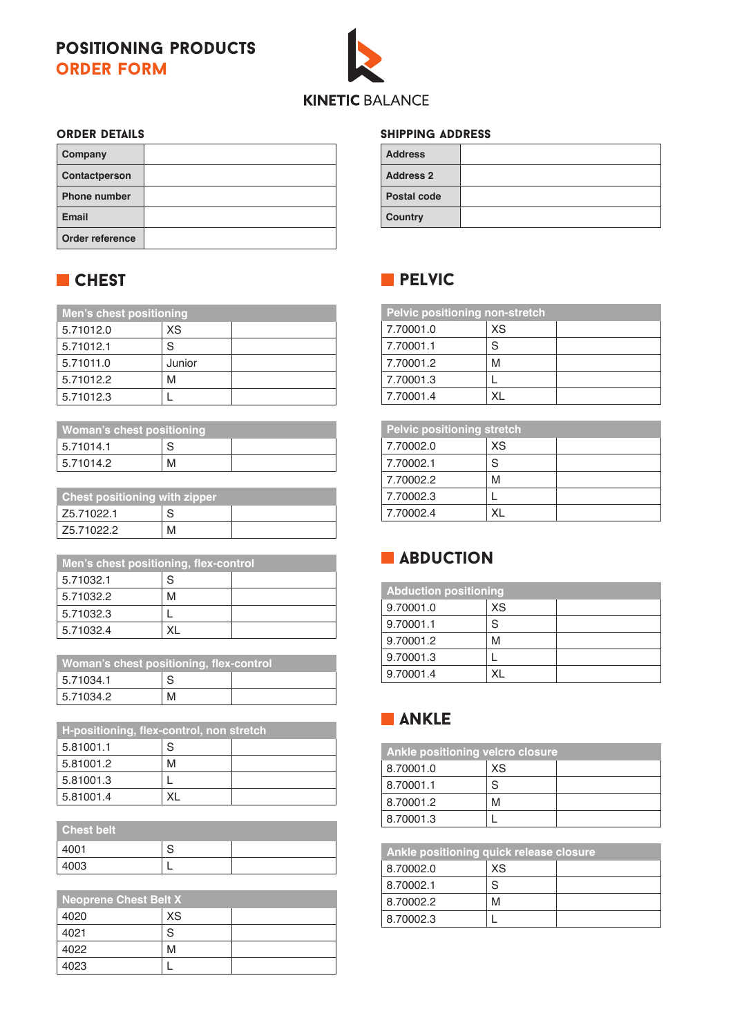### positioning products order form



#### order details

| Company             |  |
|---------------------|--|
| Contactperson       |  |
| <b>Phone number</b> |  |
| Email               |  |
| Order reference     |  |

# **CHEST**

| Men's chest positioning |        |  |
|-------------------------|--------|--|
| 5.71012.0               | XS     |  |
| 5.71012.1               | S      |  |
| 5.71011.0               | Junior |  |
| 5.71012.2               | M      |  |
| 5.71012.3               |        |  |

| Woman's chest positioning |   |  |
|---------------------------|---|--|
| 15.71014.1                |   |  |
| 5.71014.2                 | M |  |

| <b>Chest positioning with zipper</b> |   |  |
|--------------------------------------|---|--|
| Z5.71022.1                           | S |  |
| Z5.71022.2                           | M |  |

| Men's chest positioning, flex-control |   |  |
|---------------------------------------|---|--|
| 5.71032.1                             | S |  |
| 5.71032.2                             |   |  |
| 5.71032.3                             |   |  |
| 5.71032.4                             |   |  |

| Woman's chest positioning, flex-control |   |  |
|-----------------------------------------|---|--|
| 5.71034.1                               | S |  |
| 5.71034.2                               | М |  |

| H-positioning, flex-control, non stretch |   |  |  |
|------------------------------------------|---|--|--|
| 5.81001.1                                | S |  |  |
| 5.81001.2                                | м |  |  |
| 5.81001.3                                |   |  |  |
| 5.81001.4                                |   |  |  |

| <b>Chest belt</b> |   |  |
|-------------------|---|--|
| 4001              | S |  |
| 4003              |   |  |

| <b>Neoprene Chest Belt X</b> |           |  |
|------------------------------|-----------|--|
| 4020                         | <b>XS</b> |  |
| 4021                         | S         |  |
| 4022                         | M         |  |
| 4023                         |           |  |

#### Shipping address

| <b>Address</b>     |  |
|--------------------|--|
| <b>Address 2</b>   |  |
| <b>Postal code</b> |  |
| Country            |  |



| <b>Pelvic positioning non-stretch</b> |           |  |
|---------------------------------------|-----------|--|
| 7.70001.0                             | <b>XS</b> |  |
| 7.70001.1                             | S         |  |
| 7.70001.2                             | M         |  |
| 7.70001.3                             |           |  |
| 7.70001.4                             | ΧL        |  |

| <b>Pelvic positioning stretch</b> |           |  |
|-----------------------------------|-----------|--|
| 7.70002.0                         | <b>XS</b> |  |
| 7.70002.1                         | S         |  |
| 7.70002.2                         | м         |  |
| 7.70002.3                         |           |  |
| 7.70002.4                         | ΧI        |  |

# **ABDUCTION**

| <b>Abduction positioning</b> |           |  |
|------------------------------|-----------|--|
| 9.70001.0                    | <b>XS</b> |  |
| 9.70001.1                    | S         |  |
| 9.70001.2                    | M         |  |
| 9.70001.3                    |           |  |
| 9.70001.4                    | ΧL        |  |

### **NANKLE**

| <b>Ankle positioning velcro closure</b> |    |  |
|-----------------------------------------|----|--|
| 8.70001.0                               | XS |  |
| 8.70001.1                               | S  |  |
| 8.70001.2                               | M  |  |
| 8.70001.3                               |    |  |

| Ankle positioning quick release closure |    |  |
|-----------------------------------------|----|--|
| 8.70002.0                               | XS |  |
| 8.70002.1                               |    |  |
| 8.70002.2                               | M  |  |
| 8.70002.3                               |    |  |